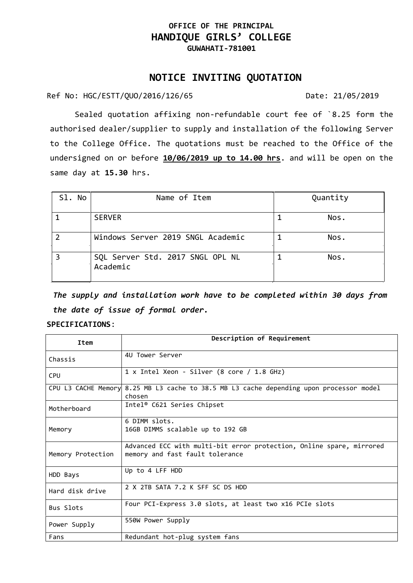## **OFFICE OF THE PRINCIPAL HANDIQUE GIRLS' COLLEGE GUWAHATI-781001**

## **NOTICE INVITING QUOTATION**

Ref No: HGC/ESTT/QUO/2016/126/65 Date: 21/05/2019

Sealed quotation affixing non-refundable court fee of `8.25 form the authorised dealer/supplier to supply and installation of the following Server to the College Office. The quotations must be reached to the Office of the undersigned on or before **10/06/2019 up to 14.00 hrs**. and will be open on the same day at **15.30** hrs.

| Sl. No | Name of Item                                 | Quantity |
|--------|----------------------------------------------|----------|
|        | <b>SERVER</b>                                | Nos.     |
|        | Windows Server 2019 SNGL Academic            | Nos.     |
|        | SQL Server Std. 2017 SNGL OPL NL<br>Academic | Nos.     |

*The supply and installation work have to be completed within 30 days from the date of issue of formal order.*

## **SPECIFICATIONS**:

| Item              | Description of Requirement                                                                              |
|-------------------|---------------------------------------------------------------------------------------------------------|
| Chassis           | 4U Tower Server                                                                                         |
| <b>CPU</b>        | 1 x Intel Xeon - Silver (8 core / 1.8 GHz)                                                              |
|                   | CPU L3 CACHE Memory 8.25 MB L3 cache to 38.5 MB L3 cache depending upon processor model<br>chosen       |
| Motherboard       | Intel® C621 Series Chipset                                                                              |
| Memory            | 6 DIMM slots.<br>16GB DIMMS scalable up to 192 GB                                                       |
| Memory Protection | Advanced ECC with multi-bit error protection, Online spare, mirrored<br>memory and fast fault tolerance |
| HDD Bays          | Up to 4 LFF HDD                                                                                         |
| Hard disk drive   | 2 X 2TB SATA 7.2 K SFF SC DS HDD                                                                        |
| Bus Slots         | Four PCI-Express 3.0 slots, at least two x16 PCIe slots                                                 |
| Power Supply      | 550W Power Supply                                                                                       |
| Fans              | Redundant hot-plug system fans                                                                          |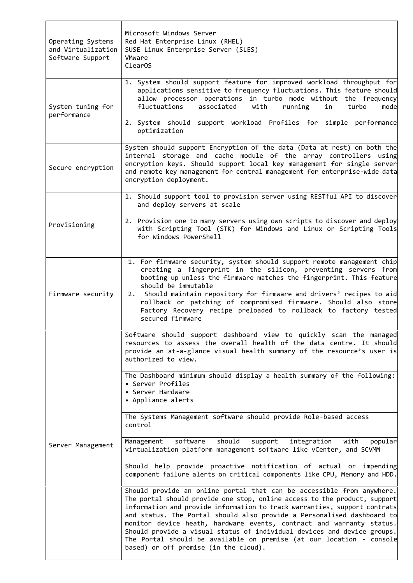| Operating Systems<br>and Virtualization<br>Software Support | Microsoft Windows Server<br>Red Hat Enterprise Linux (RHEL)<br>SUSE Linux Enterprise Server (SLES)<br>VMware<br>Clear <sub>0</sub> S                                                                                                                                                                                                                                                                                                                                                                                                                                                                                                                                                                                                                                                                                                                                                                                                                                                                                                                                                                                                                                                                                                                                                                                                                             |
|-------------------------------------------------------------|------------------------------------------------------------------------------------------------------------------------------------------------------------------------------------------------------------------------------------------------------------------------------------------------------------------------------------------------------------------------------------------------------------------------------------------------------------------------------------------------------------------------------------------------------------------------------------------------------------------------------------------------------------------------------------------------------------------------------------------------------------------------------------------------------------------------------------------------------------------------------------------------------------------------------------------------------------------------------------------------------------------------------------------------------------------------------------------------------------------------------------------------------------------------------------------------------------------------------------------------------------------------------------------------------------------------------------------------------------------|
| System tuning for<br>performance                            | 1. System should support feature for improved workload throughput for<br>applications sensitive to frequency fluctuations. This feature should<br>allow processor operations in turbo mode without the frequency<br>fluctuations<br>associated<br>running<br>with<br>in<br>turbo<br>mode<br>2. System should support workload Profiles for simple performance<br>optimization                                                                                                                                                                                                                                                                                                                                                                                                                                                                                                                                                                                                                                                                                                                                                                                                                                                                                                                                                                                    |
| Secure encryption                                           | System should support Encryption of the data (Data at rest) on both the<br>internal storage and cache module of the array controllers using<br>encryption keys. Should support local key management for single server<br>and remote key management for central management for enterprise-wide data<br>encryption deployment.                                                                                                                                                                                                                                                                                                                                                                                                                                                                                                                                                                                                                                                                                                                                                                                                                                                                                                                                                                                                                                     |
| Provisioning                                                | 1. Should support tool to provision server using RESTful API to discover<br>and deploy servers at scale<br>2. Provision one to many servers using own scripts to discover and deploy<br>with Scripting Tool (STK) for Windows and Linux or Scripting Tools<br>for Windows PowerShell                                                                                                                                                                                                                                                                                                                                                                                                                                                                                                                                                                                                                                                                                                                                                                                                                                                                                                                                                                                                                                                                             |
| Firmware security                                           | 1. For firmware security, system should support remote management chip<br>creating a fingerprint in the silicon, preventing servers from<br>booting up unless the firmware matches the fingerprint. This feature<br>should be immutable<br>2. Should maintain repository for firmware and drivers' recipes to aid<br>rollback or patching of compromised firmware. Should also store<br>Factory Recovery recipe preloaded to rollback to factory tested<br>secured firmware                                                                                                                                                                                                                                                                                                                                                                                                                                                                                                                                                                                                                                                                                                                                                                                                                                                                                      |
| Server Management                                           | Software should support dashboard view to quickly scan the managed<br>resources to assess the overall health of the data centre. It should<br>provide an at-a-glance visual health summary of the resource's user is<br>authorized to view.<br>The Dashboard minimum should display a health summary of the following:<br>• Server Profiles<br>• Server Hardware<br>• Appliance alerts<br>The Systems Management software should provide Role-based access<br>control<br>software<br>should<br>support<br>Management<br>integration<br>popular<br>with<br>virtualization platform management software like vCenter, and SCVMM<br>Should help provide proactive notification of actual or impending<br>component failure alerts on critical components like CPU, Memory and HDD.<br>Should provide an online portal that can be accessible from anywhere.<br>The portal should provide one stop, online access to the product, support<br>information and provide information to track warranties, support contrats<br>and status. The Portal should also provide a Personalised dashboard to<br>monitor device heath, hardware events, contract and warranty status.<br>Should provide a visual status of individual devices and device groups.<br>The Portal should be available on premise (at our location - console<br>based) or off premise (in the cloud). |